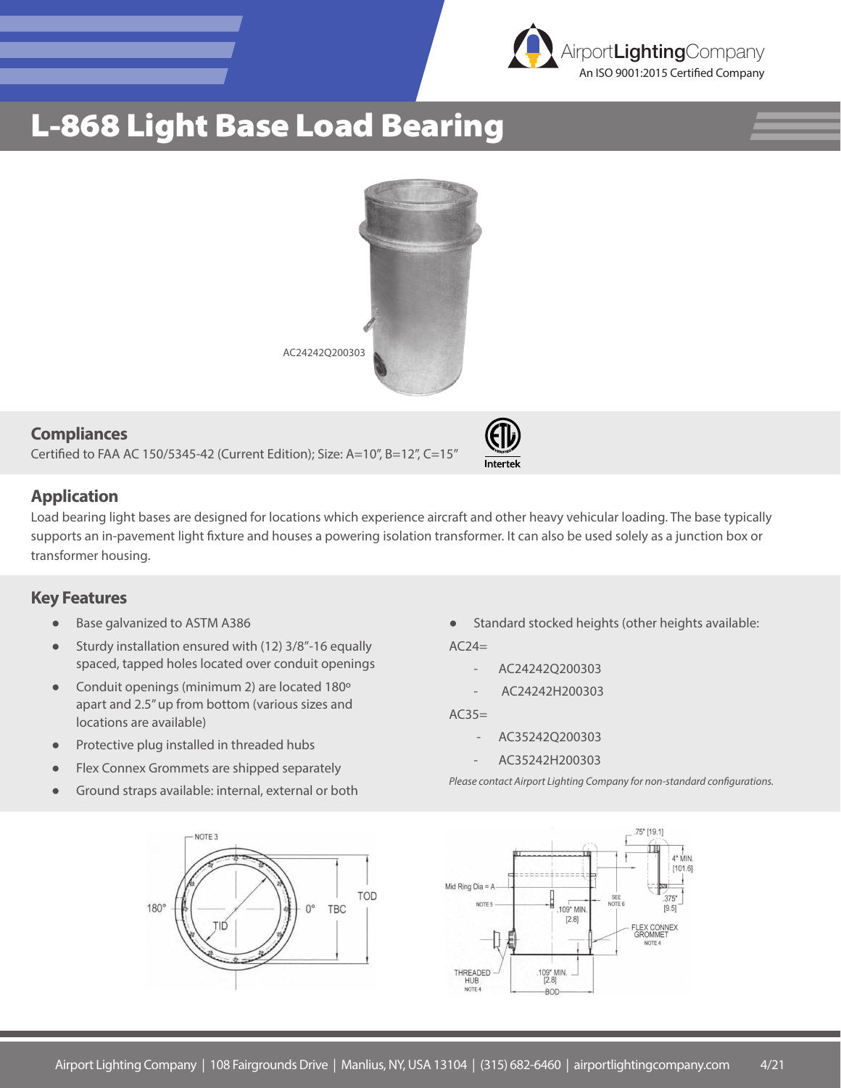

## L-868 Light Base Load Bearing



#### **Compliances**

Certified to FAA AC 150/5345-42 (Current Edition); Size: A=10", B=12", C=15"

### **Application**

Load bearing light bases are designed for locations which experience aircraft and other heavy vehicular loading. The base typically supports an in-pavement light fixture and houses a powering isolation transformer. It can also be used solely as a junction box or transformer housing.

### **Key Features**

- Base galvanized to ASTM A386
- Sturdy installation ensured with (12) 3/8"-16 equally spaced, tapped holes located over conduit openings
- Conduit openings (minimum 2) are located 180º apart and 2.5" up from bottom (various sizes and locations are available)
- Protective plug installed in threaded hubs
- Flex Connex Grommets are shipped separately
- Ground straps available: internal, external or both



Standard stocked heights (other heights available:

 $AC24=$ 

Intertel

- AC24242Q200303
- AC24242H200303

 $AC35=$ 

- AC35242Q200303
- AC35242H200303

*Please contact Airport Lighting Company for non-standard configurations.*